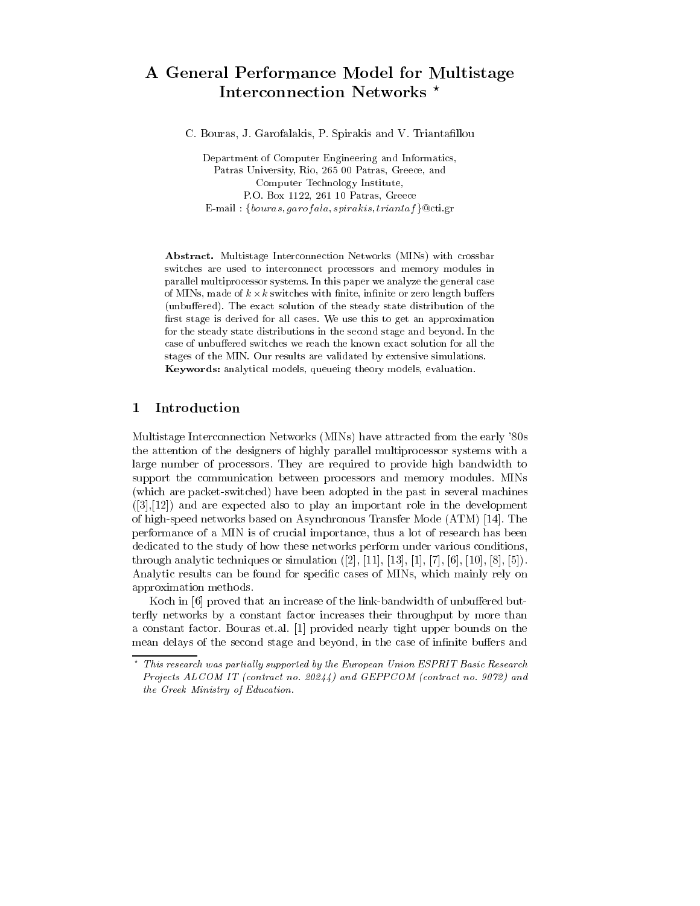## A General Performance Model for Multistage Interconnection Networks \*

C. Bouras, J. Garofalakis, P. Spirakis and V. Triantafillou

Department of Computer Engineering and Informatics, Patras University, Rio, 265 00 Patras, Greece, and Computer Technology Institute, P.O. Box 1122, 261 10 Patras, Greece E-mail : {bouras, garof ala, spirakis, triantaf } @cti.gr

Abstract. Multistage Interconnection Networks (MINs) with crossbar switches are used to interconnect processors and memory modules in parallel multiprocessor systems. In this paper we analyze the general case of MINs, made of  $k \times k$  switches with finite, infinite or zero length buffers (unbuffered). The exact solution of the steady state distribution of the first stage is derived for all cases. We use this to get an approximation for the steady state distributions in the second stage and beyond. In the case of unbuffered switches we reach the known exact solution for all the stages of the MIN. Our results are validated by extensive simulations. Keywords: analytical models, queueing theory models, evaluation.

### 1 Introduction

Multistage Interconnection Networks (MINs) have attracted from the early '80s the attention of the designers of highly parallel multiprocessor systems with a large number of processors. They are required to provide high bandwidth to support the communication between processors and memory modules. MINs (which are packet-switched) have been adopted in the past in several machines  $([3],[12])$  and are expected also to play an important role in the development of high-speed networks based on Asynchronous Transfer Mode (ATM) [14]. The performance of a MIN is of crucial importance, thus a lot of research has been dedicated to the study of how these networks perform under various conditions, through analytic techniques or simulation  $([2], [11], [13], [1], [7], [6], [10], [8], [5]).$ Analytic results can be found for specic cases of MINs, which mainly rely on approximation methods.

Koch in [6] proved that an increase of the link-bandwidth of unbuffered butterfly networks by a constant factor increases their throughput by more than a constant factor. Bouras et.al. [1] provided nearly tight upper bounds on the mean delays of the second stage and beyond, in the case of infinite buffers and

 $\,$  This research was partially supported by the European Union ESPRIT Basic Research  $\,$ Projects ALCOM IT (contract no. 20244) and GEPPCOM (contract no. 9072) and the Greek Ministry of Education.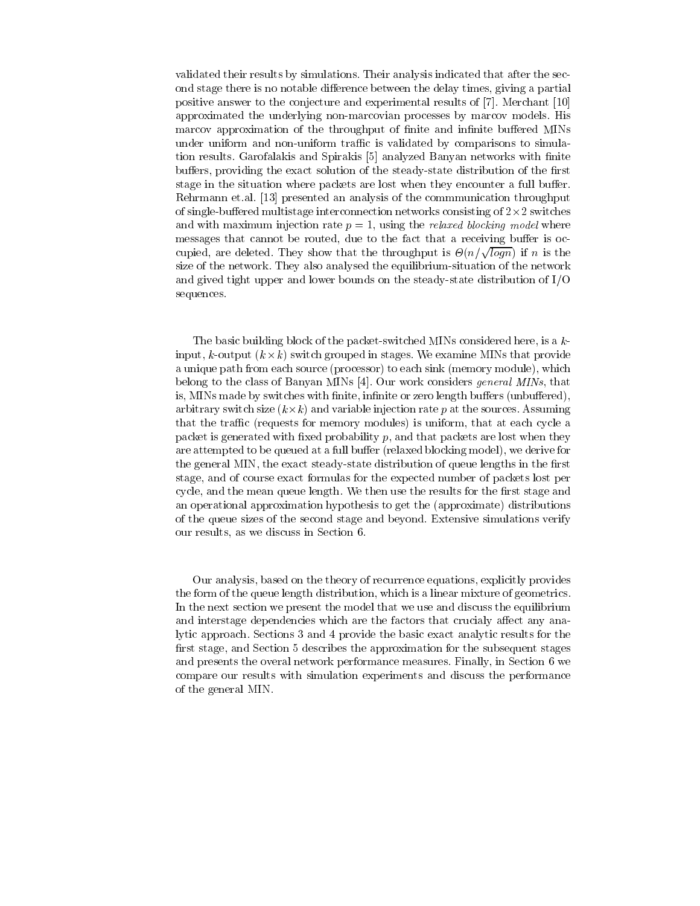validated their results by simulations. Their analysis indicated that after the second stage there is no notable difference between the delay times, giving a partial positive answer to the conjecture and experimental results of [7]. Merchant [10] approximated the underlying non-marcovian processes by marcov models. His marcov approximation of the throughput of finite and infinite buffered MINs under uniform and non-uniform traffic is validated by comparisons to simulation results. Garofalakis and Spirakis [5] analyzed Banyan networks with finite buffers, providing the exact solution of the steady-state distribution of the first stage in the situation where packets are lost when they encounter a full buffer. Rehrmann et.al. [13] presented an analysis of the commmunication throughput of single-buered multistage interconnection networks consisting of 2-2 switches and with maximum injection rate  $p = 1$ , using the *relaxed blocking model* where messages that cannot be routed, due to the fact that a receiving buffer is occupied, are deleted. They show that the throughput is  $\Theta(n/\sqrt{log n})$  if n is the size of the network. They also analysed the equilibrium-situation of the network and gived tight upper and lower bounds on the steady-state distribution of I/O sequences.

The basic building block of the packet-switched MINs considered here, is a kinput, k-output (k-k) switch grouped in stages. We examine MINs that provide a unique path from each source (processor) to each sink (memory module), which belong to the class of Banyan MINs [4]. Our work considers general MINs, that is, MINs made by switches with finite, infinite or zero length buffers (unbuffered), arbitrary switch size (k-k) and variable injection rate p at the sources. Assuming the sources of the sources that the traffic (requests for memory modules) is uniform, that at each cycle a packet is generated with fixed probability  $p$ , and that packets are lost when they are attempted to be queued at a full buffer (relaxed blocking model), we derive for the general MIN, the exact steady-state distribution of queue lengths in the first stage, and of course exact formulas for the expected number of packets lost per cycle, and the mean queue length. We then use the results for the first stage and an operational approximation hypothesis to get the (approximate) distributions of the queue sizes of the second stage and beyond. Extensive simulations verify our results, as we discuss in Section 6.

Our analysis, based on the theory of recurrence equations, explicitly provides the form of the queue length distribution, which is a linear mixture of geometrics. In the next section we present the model that we use and discuss the equilibrium and interstage dependencies which are the factors that crucialy affect any analytic approach. Sections 3 and 4 provide the basic exact analytic results for the first stage, and Section 5 describes the approximation for the subsequent stages and presents the overal network performance measures. Finally, in Section 6 we compare our results with simulation experiments and discuss the performance of the general MIN.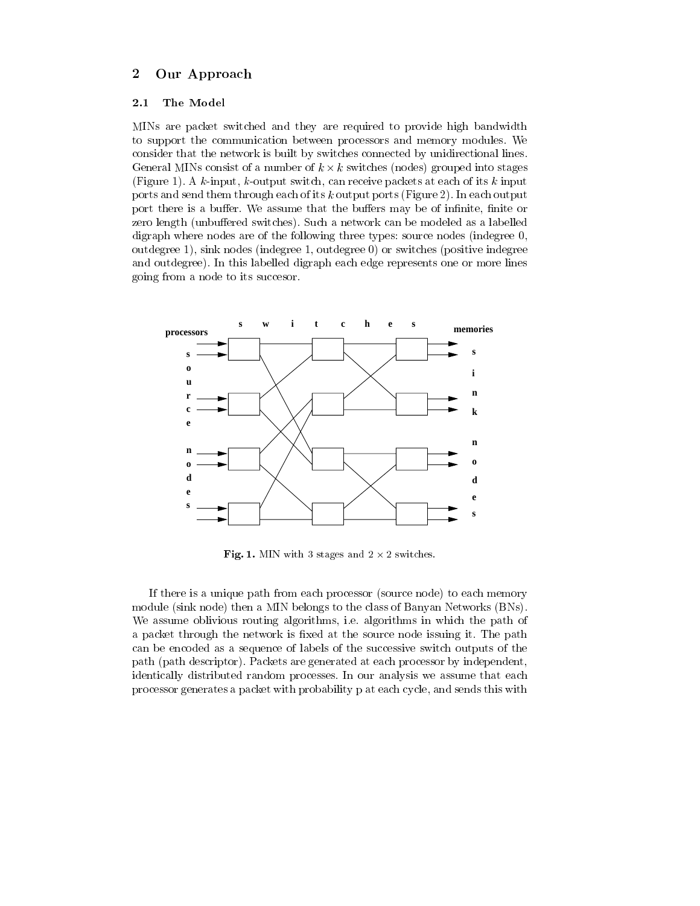#### $\overline{2}$ Our Approach

#### 2.1The Model

MINs are packet switched and they are required to provide high bandwidth to support the communication between processors and memory modules. We consider that the network is built by switches connected by unidirectional lines. General MINs consist of a number of k - k switches (nodes) grouped into stages (Figure 1). A  $k$ -input,  $k$ -output switch, can receive packets at each of its  $k$  input ports and send them through each of its k output ports (Figure 2). In each output port there is a buffer. We assume that the buffers may be of infinite, finite or zero length (unbuffered switches). Such a network can be modeled as a labelled digraph where nodes are of the following three types: source nodes (indegree 0, outdegree 1), sink nodes (indegree 1, outdegree 0) or switches (positive indegree and outdegree). In this labelled digraph each edge represents one or more lines going from a node to its succesor.



**Fig. 1.** MIN with 3 stages and  $2 \times 2$  switches.

If there is a unique path from each processor (source node) to each memory module (sink node) then a MIN belongs to the class of Banyan Networks (BNs). We assume oblivious routing algorithms, i.e. algorithms in which the path of a packet through the network is fixed at the source node issuing it. The path can be encoded as a sequence of labels of the successive switch outputs of the path (path descriptor). Packets are generated at each processor by independent, identically distributed random processes. In our analysis we assume that each processor generates a packet with probability p at each cycle, and sends this with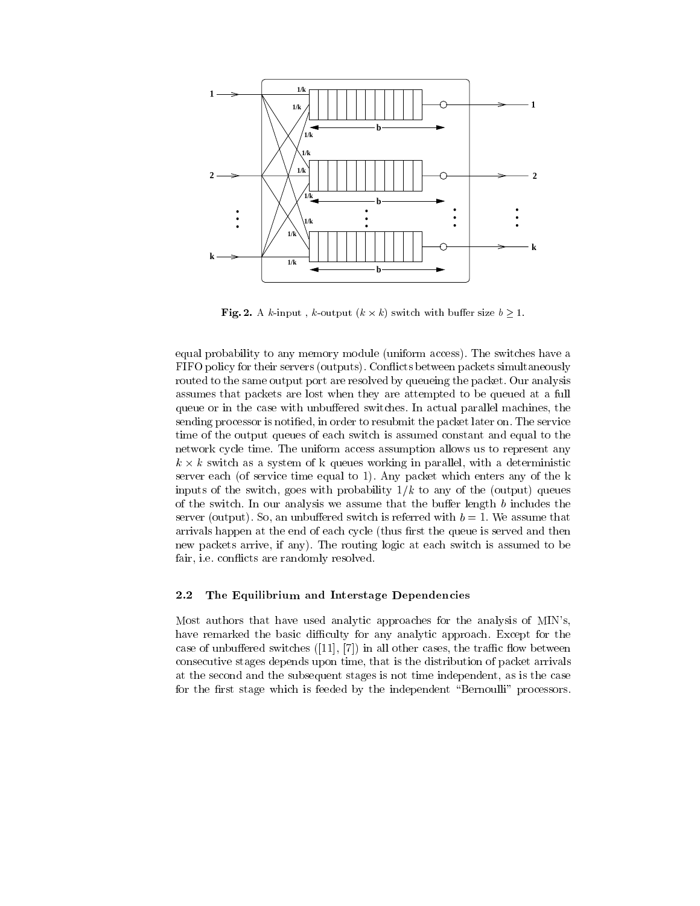

**Fig. 2.** A k-input, k-output  $(k \times k)$  switch with buffer size  $b \ge 1$ .

equal probability to any memory module (uniform access). The switches have a FIFO policy for their servers (outputs). Con
icts between packets simultaneously routed to the same output port are resolved by queueing the packet. Our analysis assumes that packets are lost when they are attempted to be queued at a full queue or in the case with unbuffered switches. In actual parallel machines, the sending processor is notied, in order to resubmit the packet later on. The service time of the output queues of each switch is assumed constant and equal to the network cycle time. The uniform access assumption allows us to represent any k - k switch as a system of k queues working in parallel, with a deterministic server each (of service time equal to 1). Any packet which enters any of the k inputs of the switch, goes with probability  $1/k$  to any of the (output) queues of the switch. In our analysis we assume that the buffer length  $b$  includes the server (output). So, an unbuffered switch is referred with  $b = 1$ . We assume that arrivals happen at the end of each cycle (thus first the queue is served and then new packets arrive, if any). The routing logic at each switch is assumed to be fair, *i.e.* conflicts are randomly resolved.

#### 2.2The Equilibrium and Interstage Dependencies

Most authors that have used analytic approaches for the analysis of MIN's, have remarked the basic difficulty for any analytic approach. Except for the case of unbuffered switches  $([11], [7])$  in all other cases, the traffic flow between consecutive stages depends upon time, that is the distribution of packet arrivals at the second and the subsequent stages is not time independent, as is the case for the first stage which is feeded by the independent "Bernoulli" processors.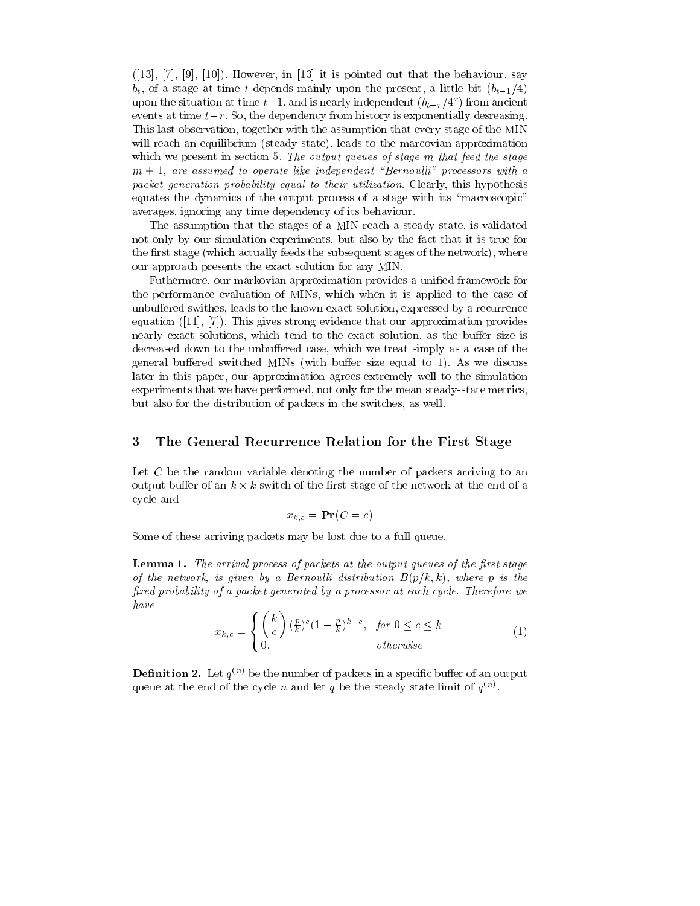$([13], [7], [9], [10])$ . However, in [13] it is pointed out that the behaviour, say  $b_t$ , of a stage at time t depends mainly upon the present, a little bit  $(b_{t-1}/4)$ upon the situation at time  $t-1$ , and is nearly independent  $(b_{t-r}/4^r)$  from ancient events at time  $t-r$ . So, the dependency from history is exponentially desreasing. This last observation, together with the assumption that every stage of the MIN will reach an equilibrium (steady-state), leads to the marcovian approximation which we present in section 5. The output queues of stage m that feed the stage  $m + 1$ , are assumed to operate like independent "Bernoulli" processors with a packet generation probability equal to their utilization. Clearly, this hypothesis equates the dynamics of the output process of a stage with its "macroscopic" averages, ignoring any time dependency of its behaviour.

The assumption that the stages of a MIN reach a steady-state, is validated not only by our simulation experiments, but also by the fact that it is true for the first stage (which actually feeds the subsequent stages of the network), where our approach presents the exact solution for any MIN.

Futhermore, our markovian approximation provides a unified framework for the performance evaluation of MINs, which when it is applied to the case of unbuffered swithes, leads to the known exact solution, expressed by a recurrence equation ([11], [7]). This gives strong evidence that our approximation provides nearly exact solutions, which tend to the exact solution, as the buffer size is decreased down to the unbuffered case, which we treat simply as a case of the general buffered switched MINs (with buffer size equal to 1). As we discuss later in this paper, our approximation agrees extremely well to the simulation experiments that we have performed, not only for the mean steady-state metrics, but also for the distribution of packets in the switches, as well.

#### 3 The General Recurrence Relation for the First Stage

Let  $C$  be the random variable denoting the number of packets arriving to an  $\mathbf{r}$  -the network at the network at the network at the network at the end of an  $\mathbf{r}$ cycle and

$$
x_{k,c} = \mathbf{Pr}(C = c)
$$

Some of these arriving packets may be lost due to a full queue.

**Lemma 1.** The arrival process of packets at the output queues of the first stage of the network, is given by a Bernoulli distribution  $B(p/k, k)$ , where p is the fixed probability of a packet generated by a processor at each cycle. Therefore we have

$$
x_{k,c} = \begin{cases} {k \choose c} \left(\frac{p}{k}\right)^c (1 - \frac{p}{k})^{k-c}, & \text{for } 0 \le c \le k\\ 0, & \text{otherwise} \end{cases}
$$
 (1)

**Definition 2.** Let  $q_{\text{max}}$  be the number of packets in a specific buffer of an output queue at the end of the cycle  $n$  and let  $q$  be the steady state limit of  $q \rightarrow$ .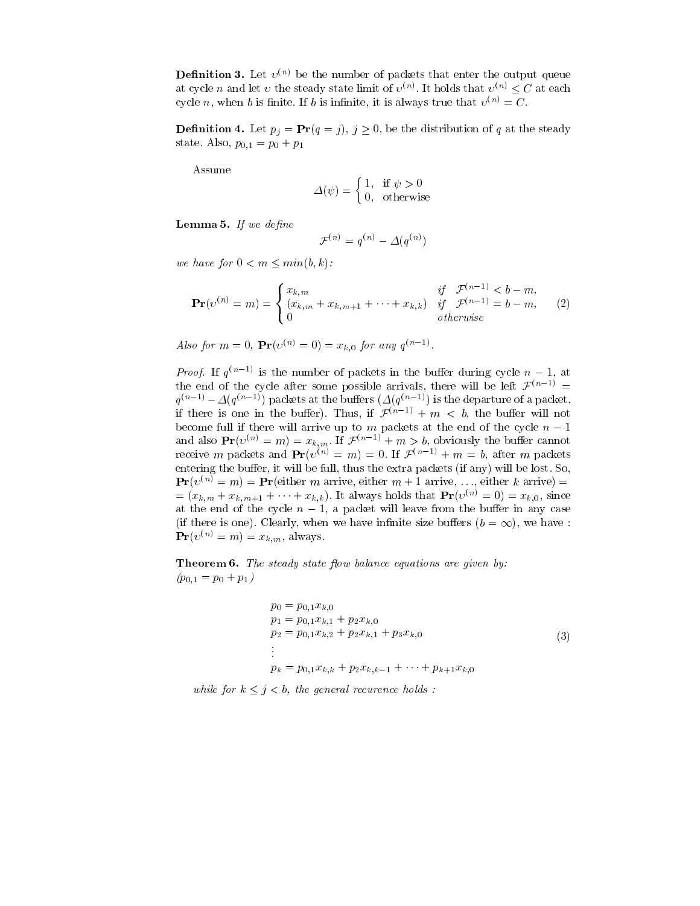**Definition 3.** Let  $v \vee v$  be the number of packets that enter the output queue at cycle *n* and let *v* the steady state limit of  $v \vee$ . It holds that  $v \vee \leq C$  at each cycle *n*, when *b* is finite. If *b* is infinite, it is always true that  $v^{(n)} = C$ .

**Definition 4.** Let  $p_i = \mathbf{r} \mathbf{r} (q = j)$ ,  $j \geq 0$ , be the distribution of q at the steady state. Also,  $p_{0,1} = p_0 + p_1$ 

Assume

$$
\Delta(\psi) = \begin{cases} 1, & \text{if } \psi > 0 \\ 0, & \text{otherwise} \end{cases}
$$

 $\bf L$ emma  $\bf v$ . If we define

$$
\mathcal{F}^{(n)}=q^{(n)}-\varDelta(q^{(n)})
$$

we have for  $0 < m < min(b, k)$ :

$$
\mathbf{Pr}(v^{(n)} = m) = \begin{cases} x_{k,m} & \text{if } \mathcal{F}^{(n-1)} < b - m, \\ (x_{k,m} + x_{k,m+1} + \dots + x_{k,k}) & \text{if } \mathcal{F}^{(n-1)} = b - m, \\ 0 & \text{otherwise} \end{cases}
$$
 (2)

Also for  $m = 0$ ,  $\mathbf{P} \mathbf{r}(v^{\alpha}) = 0$  =  $x_{k,0}$  for any  $q^{\alpha-1}$ .

*Proof.* If  $q^{n+1}$  is the number of packets in the buffer during cycle  $n-1$ , at the end of the cycle after some possible arrivals, there will be left  $\mathcal{F}^{(n-1)}$  =  $q^{(n-1)} = \Delta(q^{(n-1)})$  packets at the builers  $(\Delta(q^{(n-1)})$  is the departure of a packet, if there is one in the buffer). Thus, if  $\mathcal{F}^{(n-1)} + m < b$ , the buffer will not become full if there will arrive up to m packets at the end of the cycle n 1 and also  $\mathbf{P}(\mathcal{V}^{\vee}) = m) = x_{k,m}$ . If  $\mathcal{F}^{\vee} \longrightarrow + m \geq v$ , obviously the builer cannot receive m packets and  $\mathbf{F}(\mathcal{O}) \neq m$   $= m$   $= 0$ . If  $\mathcal{F}(\mathcal{O}) \neq m$   $= 0$ , after m packets entering the buffer, it will be full, thus the extra packets (if any) will be lost. So,  $\mathbf{Pr}(v^{(n)}=m) = \mathbf{Pr}(\text{either } m \text{ arrive, either } m+1 \text{ arrive, ..., either } k \text{ arrive}) =$  $=(x_{k,m} + x_{k,m+1} + \cdots + x_{k,k}).$  It always holds that  $Pr(v^{(n)} = 0) = x_{k,0}$ , since at the end of the cycle  $n-1$ , a packet will leave from the buffer in any case (if there is one). Clearly, when we have infinite size buffers  $(b = \infty)$ , we have :  $\mathbf{Pr}(v^{(n)}=m)=x_{k,m}$ , always.

**Theorem 0.** The steady state flow balance equations are given by.  $(p_{0,1} = p_0 + p_1)$ 

$$
p_0 = p_{0,1}x_{k,0}
$$
  
\n
$$
p_1 = p_{0,1}x_{k,1} + p_2x_{k,0}
$$
  
\n
$$
p_2 = p_{0,1}x_{k,2} + p_2x_{k,1} + p_3x_{k,0}
$$
  
\n:  
\n
$$
p_k = p_{0,1}x_{k,k} + p_2x_{k,k-1} + \cdots + p_{k+1}x_{k,0}
$$
\n(3)

while for  $k \leq j < b$ , the general recurence holds :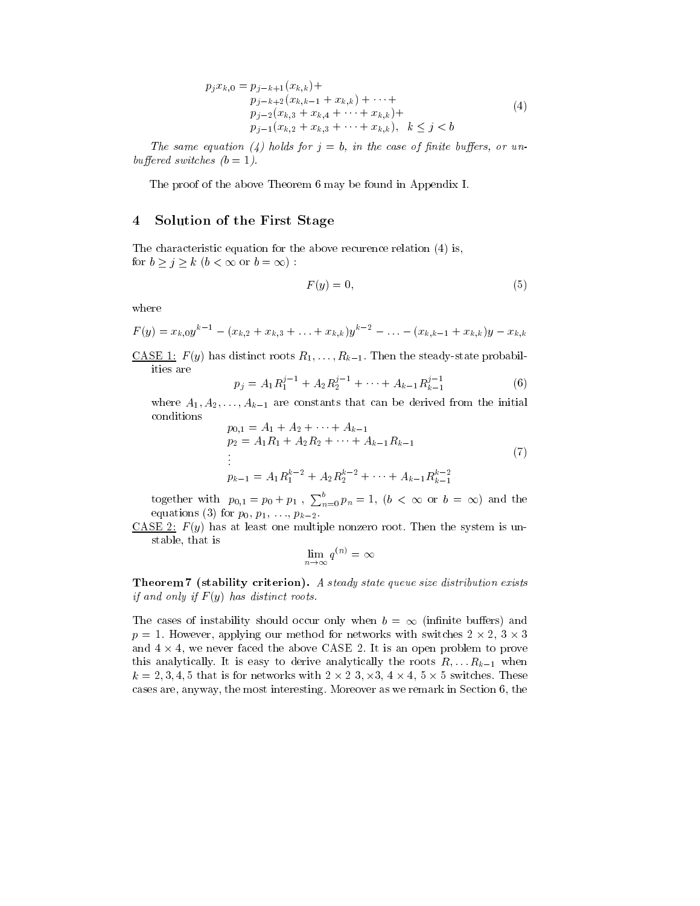$$
p_j x_{k,0} = p_{j-k+1}(x_{k,k}) + \n p_{j-k+2}(x_{k,k-1} + x_{k,k}) + \cdots + \n p_{j-2}(x_{k,3} + x_{k,4} + \cdots + x_{k,k}) + \n p_{j-1}(x_{k,2} + x_{k,3} + \cdots + x_{k,k}), \quad k \le j < b
$$
\n(4)

The same equation (4) holds for  $j = b$ , in the case of finite buffers, or unbuffered switches  $(b = 1)$ .

The proof of the above Theorem 6 may be found in Appendix I.

### 4 Solution of the First Stage

The characteristic equation for the above recurence relation (4) is, for  $b \ge j \ge k$   $(b < \infty$  or  $b = \infty)$ :

$$
F(y) = 0,\t\t(5)
$$

where

$$
F(y) = x_{k,0}y^{k-1} - (x_{k,2} + x_{k,3} + \ldots + x_{k,k})y^{k-2} - \ldots - (x_{k,k-1} + x_{k,k})y - x_{k,k}
$$

<u>CASE 1:</u>  $F(y)$  has distinct roots  $R_1, \ldots, R_{k-1}$ . Then the steady-state probabilities are

$$
p_j = A_1 R_1^{j-1} + A_2 R_2^{j-1} + \dots + A_{k-1} R_{k-1}^{j-1}
$$
 (6)

where  $A_1, A_2, \ldots, A_{k-1}$  are constants that can be derived from the initial conditions

$$
p_{0,1} = A_1 + A_2 + \dots + A_{k-1}
$$
  
\n
$$
p_2 = A_1 R_1 + A_2 R_2 + \dots + A_{k-1} R_{k-1}
$$
  
\n:  
\n
$$
p_{k-1} = A_1 R_1^{k-2} + A_2 R_2^{k-2} + \dots + A_{k-1} R_{k-1}^{k-2}
$$
\n(7)

together with  $p_{0,1} = p_0 + p_1$ ,  $\sum_{n=0}^{b} p_n = 1$ ,  $(b < \infty$  or  $b = \infty)$  and the equations (3) for  $p_0, p_1, ..., p_{k-2}$ .

CASE 2:  $F(y)$  has at least one multiple nonzero root. Then the system is unstable, that is

$$
\lim_{n\to\infty}q^{(n)}=\infty
$$

Theorem 7 (stability criterion). A steady state queue size distribution exists if and only if  $F(y)$  has distinct roots.

The cases of instability should occur only when  $b = \infty$  (infinite buffers) and p = 1. However, applying the method for networks with switches with switches 2 - 1. How switches 2 - 2, 3 - 2, 3 - 2, 3 - 2, 3 - 2, 3 - 2, 3 - 2, 3 - 2, 3 - 2, 3 - 2, 3 - 2, 3 - 2, 3 - 2, 3 - 2, 3 - 2, 3 - 2, 3 - 2, 3 - 2, and 4 - 4, we never faced the above CASE 2. It is an open problem to prove problem to prove this analytically. It is easy to derive analytically the roots  $R, \ldots R_{k-1}$  when k = 2; 3; 4; 5 that is for networks with 2 - 2 3; -3, 4 - 4, 5 - 5 switches. These cases are, anyway, the most interesting. Moreover as we remark in Section 6, the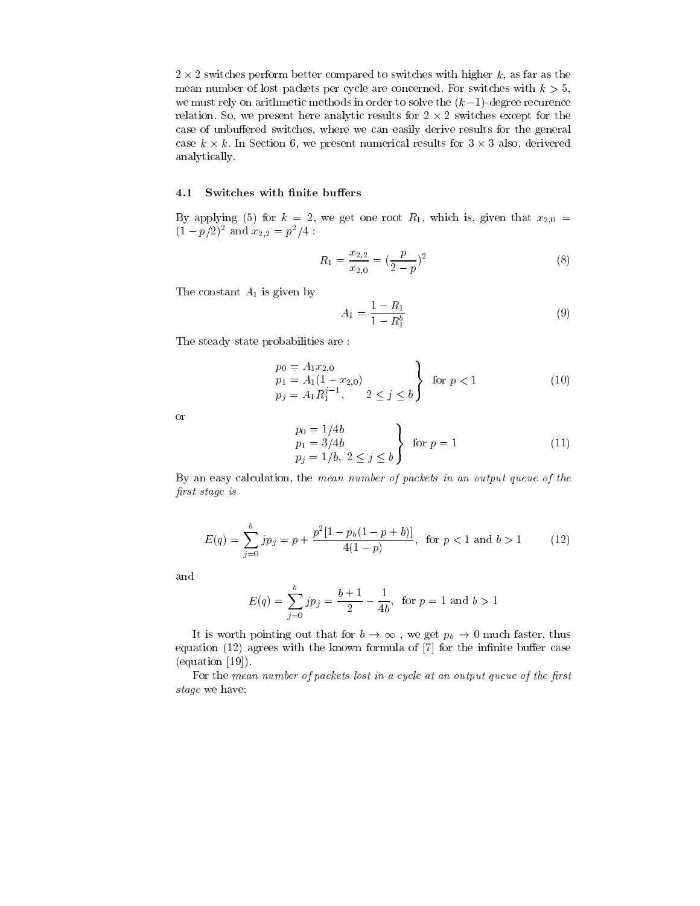2 - 2 switches perform better compared to switches with higher k, as far as the mean number of lost packets per cycle are concerned. For switches with  $k > 5$ , we must rely on arithmetic methods in order to solve the  $(k-1)$ -degree recurence relation. So, we present here analytic results for 2 - 2 switches except for the case of unbuffered switches, where we can easily derive results for the general case in the section 6, we present mummerical results for 3 - we present in 3 - 2 also, derivered in 3 - 3 - 3 analytically.

#### 4.1Switches with finite buffers

By applying (5) for  $k = 2$ , we get one root  $R_1$ , which is, given that  $x_{2,0} =$  $(1 - p/2)^2$  and  $x_{2,2} = p^2/4$ :

$$
R_1 = \frac{x_{2,2}}{x_{2,0}} = \left(\frac{p}{2-p}\right)^2 \tag{8}
$$

The constant  $A_1$  is given by

$$
A_1 = \frac{1 - R_1}{1 - R_1^b} \tag{9}
$$

The steady state probabilities are :

$$
\begin{cases}\np_0 = A_1 x_{2,0} \\
p_1 = A_1 (1 - x_{2,0}) \\
p_j = A_1 R_1^{j-1}, \quad 2 \le j \le b\n\end{cases} \text{ for } p < 1
$$
\n(10)

or

$$
\begin{cases}\n p_0 = 1/4b \\
 p_1 = 3/4b \\
 p_j = 1/b, \ 2 \le j \le b\n\end{cases} \quad \text{for } p = 1
$$
\n(11)

By an easy calculation, the mean number of packets in an output queue of the first stage is

$$
E(q) = \sum_{j=0}^{b} j p_j = p + \frac{p^2 [1 - p_b (1 - p + b)]}{4(1 - p)}, \text{ for } p < 1 \text{ and } b > 1
$$
 (12)

and

$$
E(q) = \sum_{j=0}^{b} j p_j = \frac{b+1}{2} - \frac{1}{4b}, \text{ for } p = 1 \text{ and } b > 1
$$

It is worth pointing out that for  $b \to \infty$ , we get  $p_b \to 0$  much faster, thus equation  $(12)$  agrees with the known formula of  $[7]$  for the infinite buffer case (equation [19]).

For the mean number of packets lost in a cycle at an output queue of the first stage we have: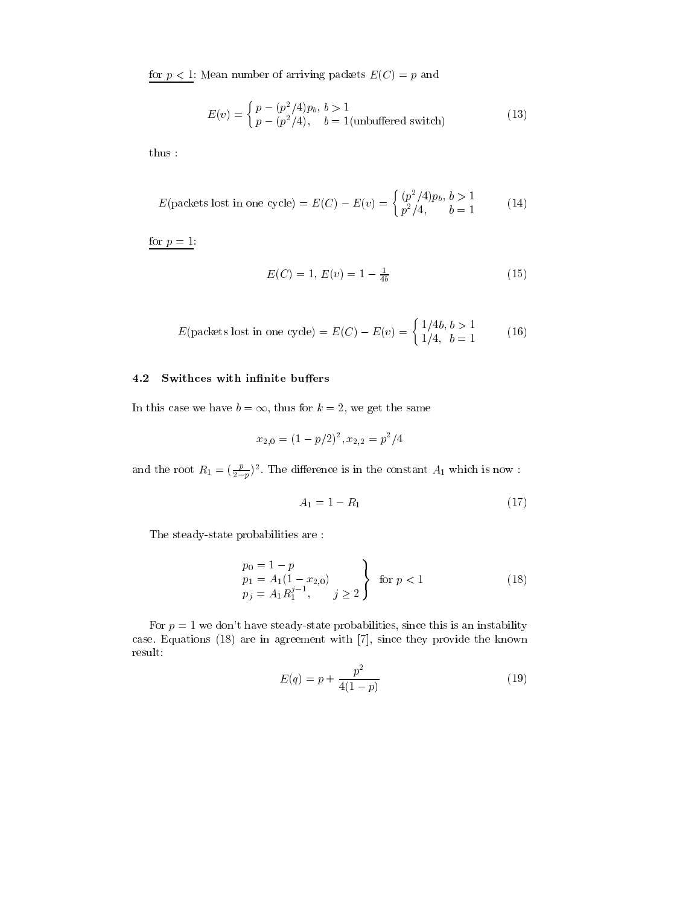for  $p < 1$ : Mean number of arriving packets  $E(C) = p$  and

$$
E(v) = \begin{cases} p - (p^2/4)p_b, & b > 1\\ p - (p^2/4), & b = 1 \text{ (unbuffered switch)} \end{cases}
$$
 (13)

thus :

$$
E(\text{packets lost in one cycle}) = E(C) - E(v) = \begin{cases} (p^2/4)p_b, & b > 1\\ p^2/4, & b = 1 \end{cases}
$$
 (14)

for  $p = 1$ :

$$
E(C) = 1, E(v) = 1 - \frac{1}{4b} \tag{15}
$$

$$
E(\text{packets lost in one cycle}) = E(C) - E(v) = \begin{cases} 1/4b, b > 1\\ 1/4, b = 1 \end{cases} (16)
$$

#### 4.2Swithces with infinite buffers

In this case we have  $b = \infty$ , thus for  $k = 2$ , we get the same

$$
x_{2,0} = (1 - p/2)^2, x_{2,2} = p^2/4
$$

and the root  $R_1 = (\frac{P}{2-p})^2$ . The difference is in the constant  $A_1$  which is now :

$$
A_1 = 1 - R_1 \tag{17}
$$

The steady-state probabilities are :

$$
\begin{cases}\np_0 = 1 - p \\
p_1 = A_1 (1 - x_{2,0}) \\
p_j = A_1 R_1^{j-1}, \quad j \ge 2\n\end{cases} \text{ for } p < 1
$$
\n(18)

For  $p = 1$  we don't have steady-state probabilities, since this is an instability case. Equations (18) are in agreement with [7], since they provide the known result:

$$
E(q) = p + \frac{p^2}{4(1-p)}
$$
\n(19)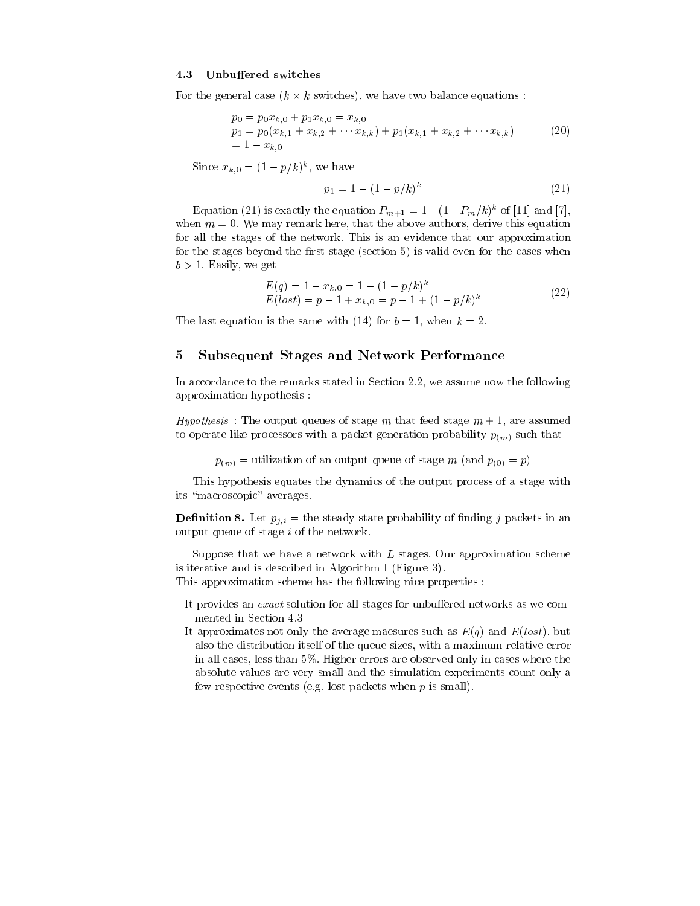#### 4.3Unbuffered switches

For the general case (k - k switches), we have two balance equations :

$$
p_0 = p_0 x_{k,0} + p_1 x_{k,0} = x_{k,0}
$$
  
\n
$$
p_1 = p_0(x_{k,1} + x_{k,2} + \cdots x_{k,k}) + p_1(x_{k,1} + x_{k,2} + \cdots x_{k,k})
$$
  
\n
$$
= 1 - x_{k,0}
$$
\n(20)

SHICE  $x_{k,0} = (1 - p/k)^n$ , we have

$$
p_1 = 1 - (1 - p/k)^k \tag{21}
$$

Equation (21) is exactly the equation  $P_{m+1} = 1-(1-P_m/k)^k$  of [11] and [7], when  $m = 0$ . We may remark here, that the above authors, derive this equation for all the stages of the network. This is an evidence that our approximation for the stages beyond the first stage (section  $5$ ) is valid even for the cases when  $b > 1$ . Easily, we get

$$
E(q) = 1 - x_{k,0} = 1 - (1 - p/k)^k
$$
  
\n
$$
E(\text{lost}) = p - 1 + x_{k,0} = p - 1 + (1 - p/k)^k
$$
\n(22)

The last equation is the same with (14) for  $b = 1$ , when  $k = 2$ .

#### 5 Subsequent Stages and Network Performance 5

In accordance to the remarks stated in Section 2.2, we assume now the following approximation hypothesis :

Hypothesis: The output queues of stage m that feed stage  $m + 1$ , are assumed to operate like processors with a packet generation probability  $p_{(m)}$  such that

 $p(m)$  = utilization of an output queue of stage m (and  $p(0) = p$ )

This hypothesis equates the dynamics of the output process of a stage with its "macroscopic" averages.

**Definition 6.** Let  $p_{i,i} =$  the steady state probability of midding j packets in an output queue of stage  $i$  of the network.

Suppose that we have a network with  $L$  stages. Our approximation scheme is iterative and is described in Algorithm I (Figure 3).

This approximation scheme has the following nice properties :

- It provides an exact solution for all stages for unbuffered networks as we commented in Section 4.3
- It approximates not only the average maesures such as  $E(q)$  and  $E(lost)$ , but also the distribution itself of the queue sizes, with a maximum relative error in all cases, less than 5%. Higher errors are observed only in cases where the absolute values are very small and the simulation experiments count only a few respective events (e.g. lost packets when  $p$  is small).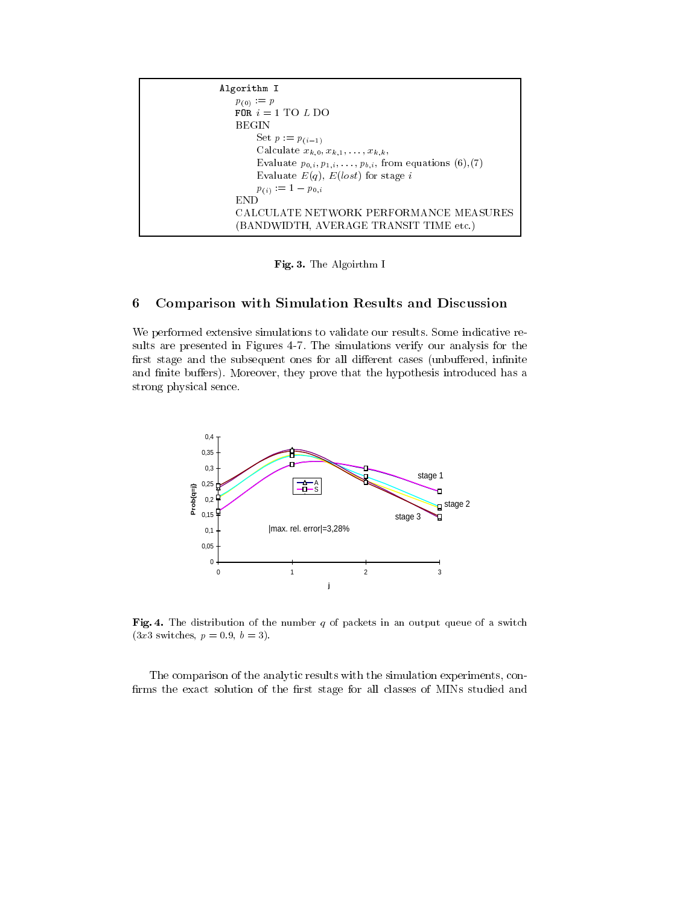| Algorithm I                                                            |  |
|------------------------------------------------------------------------|--|
| $p_{(0)} := p$                                                         |  |
| FOR $i = 1$ TO L DO                                                    |  |
| BEGIN                                                                  |  |
| Set $p := p_{(i-1)}$                                                   |  |
| Calculate $x_{k,0}, x_{k,1}, \ldots, x_{k,k}$                          |  |
| Evaluate $p_{0,i}, p_{1,i}, \ldots, p_{b,i}$ , from equations (6), (7) |  |
| Evaluate $E(q)$ , $E(lost)$ for stage i                                |  |
| $p_{(i)} := 1 - p_{0,i}$                                               |  |
| END                                                                    |  |
| CALCULATE NETWORK PERFORMANCE MEASURES                                 |  |
| BANDWIDTH, AVERAGE TRANSIT TIME etc.)                                  |  |

Fig. 3. The Algoirthm I

### 6 Comparison with Simulation Results and Discussion

We performed extensive simulations to validate our results. Some indicative results are presented in Figures 4-7. The simulations verify our analysis for the first stage and the subsequent ones for all different cases (unbuffered, infinite and finite buffers). Moreover, they prove that the hypothesis introduced has a strong physical sence.



Fig. 4. The distribution of the number  $q$  of packets in an output queue of a switch  $(3x3 \text{ switches}, p = 0.9, b = 3).$ 

The comparison of the analytic results with the simulation experiments, con firms the exact solution of the first stage for all classes of MINs studied and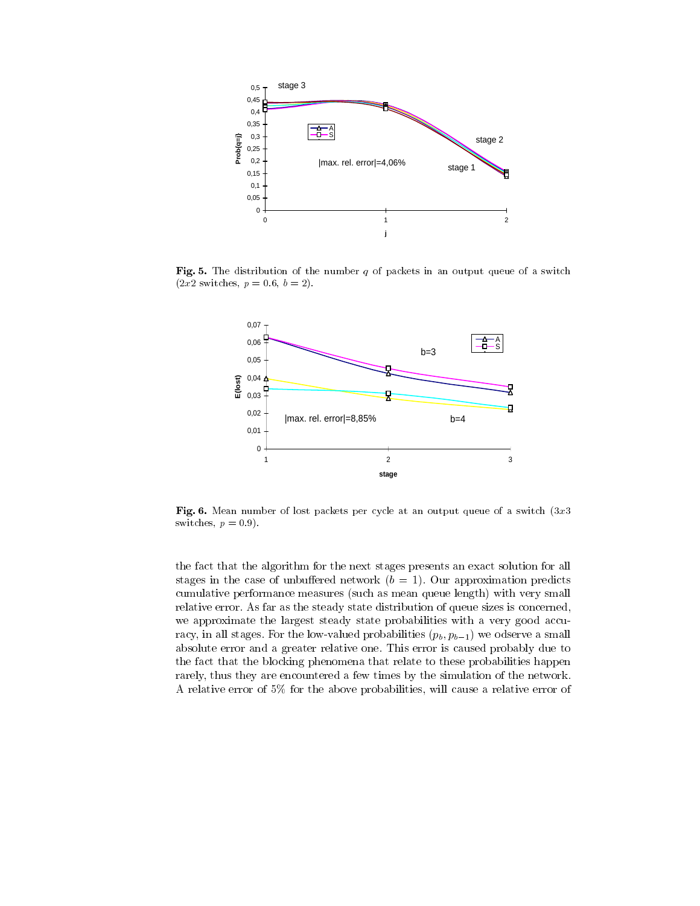

Fig. 5. The distribution of the number  $q$  of packets in an output queue of a switch  $(2x2 \text{ switches}, p = 0.6, b = 2).$ 



Fig. 6. Mean number of lost packets per cycle at an output queue of a switch  $(3x3)$ switches,  $p = 0.9$ .

the fact that the algorithm for the next stages presents an exact solution for all stages in the case of unbuffered network  $(b = 1)$ . Our approximation predicts cumulative performance measures (such as mean queue length) with very small relative error. As far as the steady state distribution of queue sizes is concerned, we approximate the largest steady state probabilities with a very good accuracy, in all stages. For the low-valued probabilities  $(p_b, p_{b-1})$  we odserve a small absolute error and a greater relative one. This error is caused probably due to the fact that the blocking phenomena that relate to these probabilities happen rarely, thus they are encountered a few times by the simulation of the network. A relative error of 5% for the above probabilities, will cause a relative error of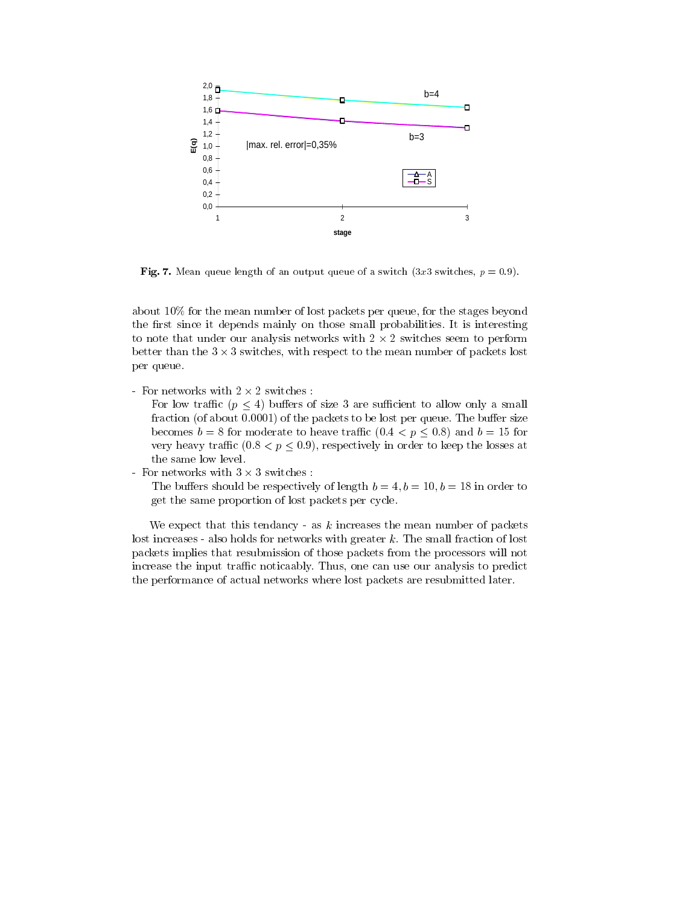

Fig. 7. Mean queue length of an output queue of a switch (3x3 switches,  $p = 0.9$ ).

about 10% for the mean number of lost packets per queue, for the stages beyond the first since it depends mainly on those small probabilities. It is interesting to note that under the underlysis networks with 2 - 2 switches strain is performed. better than the 3 switches, with respect to the mean number of packets lost to the mean number of packets lost per queue.

For low traffic ( $p \leq 4$ ) buffers of size 3 are sufficient to allow only a small fraction (of about  $0.0001$ ) of the packets to be lost per queue. The buffer size becomes  $b = 8$  for moderate to heave traffic  $(0.4 < p \le 0.8)$  and  $b = 15$  for very heavy traffic  $(0.8 < p \leq 0.9)$ , respectively in order to keep the losses at the same low level.

The buffers should be respectively of length  $b = 4, b = 10, b = 18$  in order to get the same proportion of lost packets per cycle.

We expect that this tendancy - as  $k$  increases the mean number of packets lost increases - also holds for networks with greater k. The small fraction of lost packets implies that resubmission of those packets from the processors will not increase the input traffic noticaably. Thus, one can use our analysis to predict the performance of actual networks where lost packets are resubmitted later.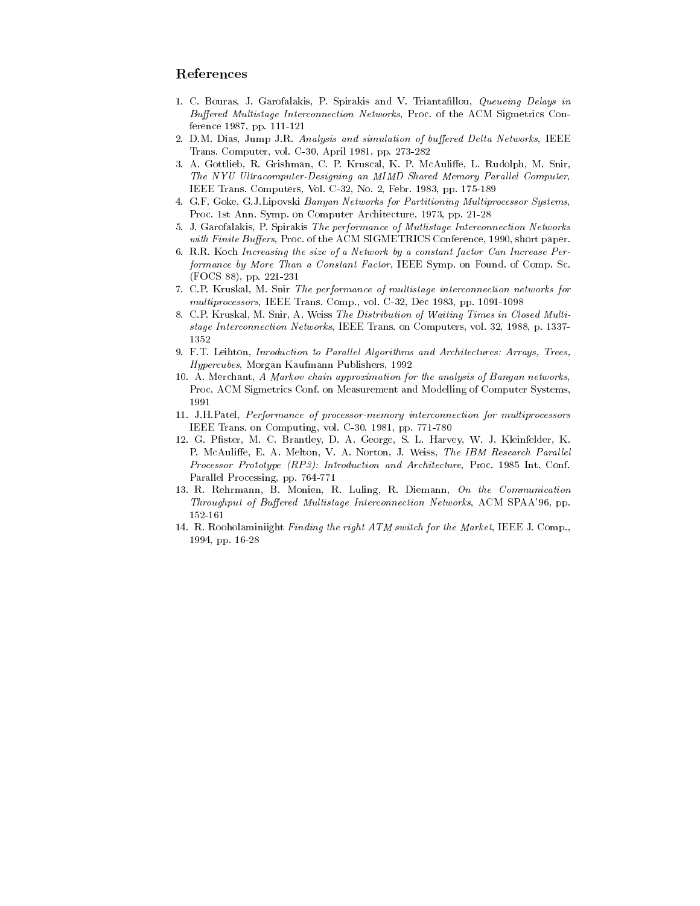### References

- 1. C. Bouras, J. Garofalakis, P. Spirakis and V. Triantallou, Queueing Delays in Buffered Multistage Interconnection Networks, Proc. of the ACM Sigmetrics Conference 1987, pp. 111-121
- 2. D.M. Dias, Jump J.R. Analysis and simulation of buffered Delta Networks, IEEE Trans. Computer, vol. C-30, April 1981, pp. 273-282
- 3. A. Gottlieb, R. Grishman, C. P. Kruscal, K. P. McAuliffe, L. Rudolph, M. Snir, The NYU Ultracomputer-Designing an MIMD Shared Memory Parallel Computer, IEEE Trans. Computers, Vol. C-32, No. 2, Febr. 1983, pp. 175-189
- 4. G.F. Goke, G.J.Lipovski Banyan Networks for Partitioning Multiprocessor Systems, Proc. 1st Ann. Symp. on Computer Architecture, 1973, pp. 21-28
- 5. J. Garofalakis, P. Spirakis The performance of Mutlistage Interconnection Networks with Finite Buffers, Proc. of the ACM SIGMETRICS Conference, 1990, short paper.
- 6. R.R. Koch Increasing the size of a Network by a constant factor Can Increase Performance by More Than a Constant Factor, IEEE Symp. on Found. of Comp. Sc. (FOCS 88), pp. 221-231
- 7. C.P. Kruskal, M. Snir The performance of multistage interconnection networks for multiprocessors, IEEE Trans. Comp., vol. C-32, Dec 1983, pp. 1091-1098
- 8. C.P. Kruskal, M. Snir, A. Weiss The Distribution of Waiting Times in Closed Multistage Interconnection Networks, IEEE Trans. on Computers, vol. 32, 1988, p. 1337- 1352
- 9. F.T. Leihton, Inroduction to Parallel Algorithms and Architectures: Arrays, Trees, Hypercubes, Morgan Kaufmann Publishers, 1992
- 10. A. Merchant, A Markov chain approximation for the analysis of Banyan networks, Proc. ACM Sigmetrics Conf. on Measurement and Modelling of Computer Systems, 1991
- 11. J.H.Patel, Performance of processor-memory interconnection for multiprocessors IEEE Trans. on Computing, vol. C-30, 1981, pp. 771-780
- 12. G. Pfister, M. C. Brantley, D. A. George, S. L. Harvey, W. J. Kleinfelder, K. P. McAuliffe, E. A. Melton, V. A. Norton, J. Weiss, The IBM Research Parallel Processor Prototype (RP3): Introduction and Architecture, Proc. 1985 Int. Conf. Parallel Processing, pp. 764-771
- 13. R. Rehrmann, B. Monien, R. Luling, R. Diemann, On the Communication Throughput of Buffered Multistage Interconnection Networks, ACM SPAA'96, pp. 152-161
- 14. R. Rooholaminiight Finding the right ATM switch for the Market, IEEE J. Comp., 1994, pp. 16-28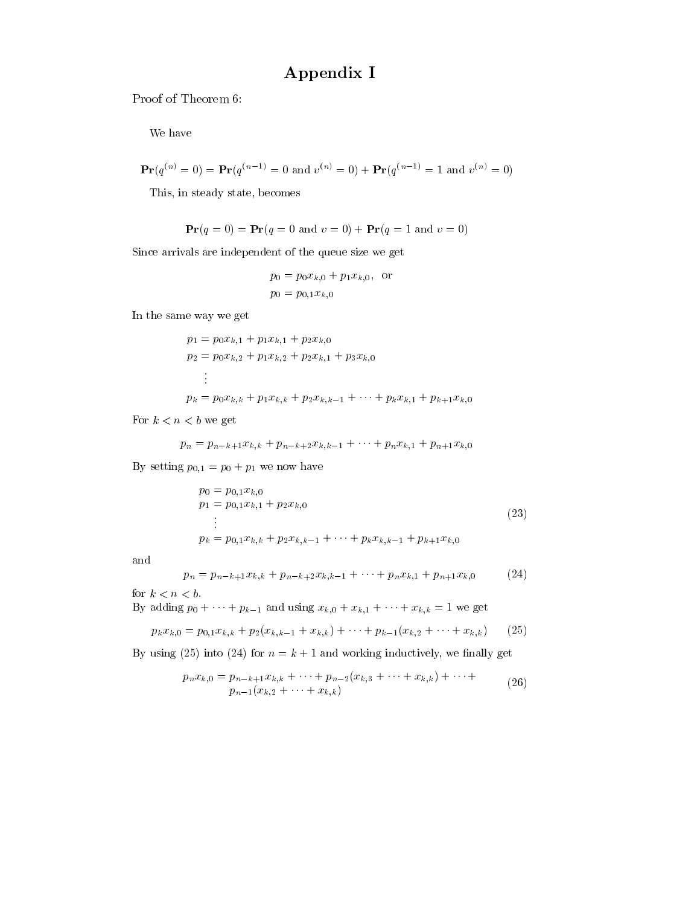# Appendix I

Proof of Theorem 6:

We have

$$
\mathbf{Pr}(q^{(n)} = 0) = \mathbf{Pr}(q^{(n-1)} = 0 \text{ and } v^{(n)} = 0) + \mathbf{Pr}(q^{(n-1)} = 1 \text{ and } v^{(n)} = 0)
$$

This, in steady state, becomes

$$
\mathbf{Pr}(q = 0) = \mathbf{Pr}(q = 0 \text{ and } v = 0) + \mathbf{Pr}(q = 1 \text{ and } v = 0)
$$

Since arrivals are independent of the queue size we get

$$
p_0 = p_0 x_{k,0} + p_1 x_{k,0}, \text{ or}
$$
  

$$
p_0 = p_{0,1} x_{k,0}
$$

In the same way we get

$$
p_1 = p_0 x_{k,1} + p_1 x_{k,1} + p_2 x_{k,0}
$$
  
\n
$$
p_2 = p_0 x_{k,2} + p_1 x_{k,2} + p_2 x_{k,1} + p_3 x_{k,0}
$$
  
\n:  
\n:  
\n
$$
p_k = p_0 x_{k,k} + p_1 x_{k,k} + p_2 x_{k,k-1} + \dots + p_k x_{k,1} + p_{k+1} x_{k,0}
$$

For  $k < n < b$  we get

$$
p_n = p_{n-k+1}x_{k,k} + p_{n-k+2}x_{k,k-1} + \cdots + p_n x_{k,1} + p_{n+1}x_{k,0}
$$

By setting  $p_{0,1} = p_0 + p_1$  we now have

$$
p_0 = p_{0,1} x_{k,0}
$$
  
\n
$$
p_1 = p_{0,1} x_{k,1} + p_2 x_{k,0}
$$
  
\n
$$
\vdots
$$
  
\n
$$
p_k = p_{0,1} x_{k,k} + p_2 x_{k,k-1} + \dots + p_k x_{k,k-1} + p_{k+1} x_{k,0}
$$
\n(23)

and

$$
p_n = p_{n-k+1}x_{k,k} + p_{n-k+2}x_{k,k-1} + \dots + p_nx_{k,1} + p_{n+1}x_{k,0}
$$
 (24)

for  $k < n < b$ .

By adding  $p_0 + \cdots + p_{k-1}$  and using  $x_{k,0} + x_{k,1} + \cdots + x_{k,k} = 1$  we get

$$
p_k x_{k,0} = p_{0,1} x_{k,k} + p_2 (x_{k,k-1} + x_{k,k}) + \dots + p_{k-1} (x_{k,2} + \dots + x_{k,k}) \qquad (25)
$$

By using (25) into (24) for  $n = k + 1$  and working inductively, we finally get

$$
p_n x_{k,0} = p_{n-k+1} x_{k,k} + \dots + p_{n-2} (x_{k,3} + \dots + x_{k,k}) + \dots +
$$
  
\n
$$
p_{n-1} (x_{k,2} + \dots + x_{k,k})
$$
 (26)